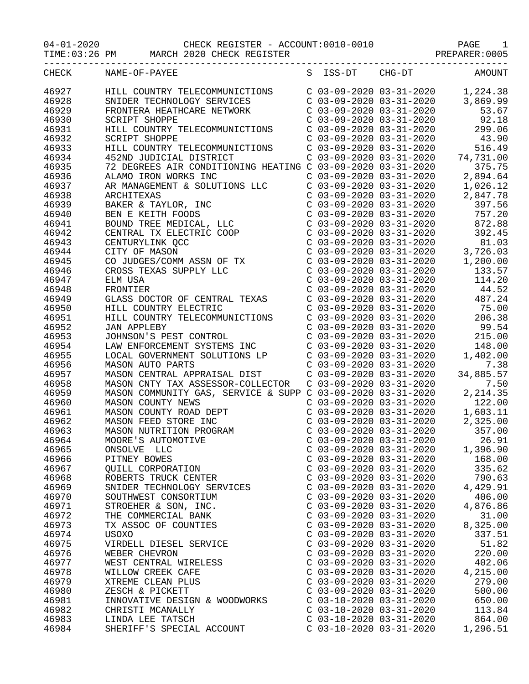## 04-01-2020 CHECK REGISTER - ACCOUNT:0010-0010 PAGE 1

TIME:03:26 PM MARCH 2020 CHECK REGISTER **PREPARER:0005** 

| CHECK | NAME-OF-PAYEE                                                                                                                                                                                                                                                                                                         |                                                                                                                                                                                                  | S ISS-DT CHG-DT AMOUNT                                                                                                                                                                                                                |
|-------|-----------------------------------------------------------------------------------------------------------------------------------------------------------------------------------------------------------------------------------------------------------------------------------------------------------------------|--------------------------------------------------------------------------------------------------------------------------------------------------------------------------------------------------|---------------------------------------------------------------------------------------------------------------------------------------------------------------------------------------------------------------------------------------|
| 46927 | HILL COUNTRY TELECOMMUNICTIONS C 03-09-2020 03-31-2020 1,224.38                                                                                                                                                                                                                                                       |                                                                                                                                                                                                  |                                                                                                                                                                                                                                       |
| 46928 |                                                                                                                                                                                                                                                                                                                       |                                                                                                                                                                                                  |                                                                                                                                                                                                                                       |
| 46929 | SNIDER TECHNOLOGY SERVICES<br>FRONTERA HEATHCARE NETWORK                                                                                                                                                                                                                                                              |                                                                                                                                                                                                  |                                                                                                                                                                                                                                       |
| 46930 | <b>SCRIPT SHOPPE</b>                                                                                                                                                                                                                                                                                                  |                                                                                                                                                                                                  | $\begin{array}{llll} \mbox{C} & 03-09-2020 & 03-31-2020 & 3,869.99 \\ \mbox{C} & 03-09-2020 & 03-31-2020 & 53.67 \\ \mbox{C} & 03-09-2020 & 03-31-2020 & 92.18 \end{array}$                                                           |
| 46931 | HILL COUNTRY TELECOMMUNICTIONS                                                                                                                                                                                                                                                                                        |                                                                                                                                                                                                  | C 03-09-2020 03-31-2020 299.06                                                                                                                                                                                                        |
| 46932 | SCRIPT SHOPPE                                                                                                                                                                                                                                                                                                         | C 03-09-2020 03-31-2020                                                                                                                                                                          | 43.90                                                                                                                                                                                                                                 |
| 46933 |                                                                                                                                                                                                                                                                                                                       |                                                                                                                                                                                                  | 516.49                                                                                                                                                                                                                                |
| 46934 | HILL COUNTRY TELECOMMUNICTIONS C 03-09-2020 03-31-2020<br>452ND JUDICIAL DISTRICT C 03-09-2020 03-31-2020<br>HILL COUNTRY TELECOMMUNICTIONS<br>452ND JUDICIAL DISTRICT<br>72 DEGREES AIR CONDITIONING HEATING C 03-09-2020 03-31-2020 74,731.00<br>72 DEGREES AIR CONDITIONING HEATING C 03-09-2020 03-31-2020 375.75 |                                                                                                                                                                                                  |                                                                                                                                                                                                                                       |
| 46935 |                                                                                                                                                                                                                                                                                                                       |                                                                                                                                                                                                  |                                                                                                                                                                                                                                       |
| 46936 | ALAMO IRON WORKS INC                                                                                                                                                                                                                                                                                                  |                                                                                                                                                                                                  | $C$ 03-09-2020 03-31-2020 2,894.64                                                                                                                                                                                                    |
| 46937 |                                                                                                                                                                                                                                                                                                                       |                                                                                                                                                                                                  |                                                                                                                                                                                                                                       |
|       | AR MANAGEMENT & SOLUTIONS LLC<br>AR MANAGEMENT & SOLUTIONS LLC<br>ARCHITEXAS<br>BAKER & TAYLOR, INC<br>BEN E KEITH FOODS<br>BOUND TREE MEDICAL, LLC<br>CENTRAL TX ELECTRIC COOP<br>CENTURYLINK QCC<br>CITY OF MASON<br>CO JUDGES/COMM ASSN OF TX<br>CROSS TEXAS SUPPLY LLC<br>ELM U                                   | C 03-09-2020 03-31-2020<br>$C$ 03-09-2020 03-31-2020                                                                                                                                             | 1,026.12<br>2,847.78                                                                                                                                                                                                                  |
| 46938 |                                                                                                                                                                                                                                                                                                                       |                                                                                                                                                                                                  |                                                                                                                                                                                                                                       |
| 46939 |                                                                                                                                                                                                                                                                                                                       |                                                                                                                                                                                                  | $\begin{array}{llll} \mbox{C} & 03-09-2020 & 03-31-2020 & 397.56 \\ \mbox{C} & 03-09-2020 & 03-31-2020 & 757.20 \\ \mbox{C} & 03-09-2020 & 03-31-2020 & 872.88 \end{array}$                                                           |
| 46940 |                                                                                                                                                                                                                                                                                                                       |                                                                                                                                                                                                  |                                                                                                                                                                                                                                       |
| 46941 |                                                                                                                                                                                                                                                                                                                       |                                                                                                                                                                                                  |                                                                                                                                                                                                                                       |
| 46942 |                                                                                                                                                                                                                                                                                                                       | C 03-09-2020 03-31-2020                                                                                                                                                                          | 392.45                                                                                                                                                                                                                                |
| 46943 |                                                                                                                                                                                                                                                                                                                       |                                                                                                                                                                                                  | 81.03                                                                                                                                                                                                                                 |
| 46944 |                                                                                                                                                                                                                                                                                                                       |                                                                                                                                                                                                  |                                                                                                                                                                                                                                       |
| 46945 |                                                                                                                                                                                                                                                                                                                       |                                                                                                                                                                                                  | $\begin{array}{cccc} \texttt{C} & 03-09-2020 & 03-31-2020 & 81.03 \\ \texttt{C} & 03-09-2020 & 03-31-2020 & 3,726.03 \\ \texttt{C} & 03-09-2020 & 03-31-2020 & 1,200.00 \\ \texttt{C} & 03-09-2020 & 03-31-2020 & 133.57 \end{array}$ |
| 46946 |                                                                                                                                                                                                                                                                                                                       |                                                                                                                                                                                                  |                                                                                                                                                                                                                                       |
| 46947 |                                                                                                                                                                                                                                                                                                                       | $C$ 03-09-2020 03-31-2020                                                                                                                                                                        | 114.20                                                                                                                                                                                                                                |
| 46948 | FRONTIER                                                                                                                                                                                                                                                                                                              |                                                                                                                                                                                                  | $C$ 03-09-2020 03-31-2020 44.52                                                                                                                                                                                                       |
| 46949 | GLASS DOCTOR OF CENTRAL TEXAS                                                                                                                                                                                                                                                                                         | C 03-09-2020 03-31-2020                                                                                                                                                                          | 487.24                                                                                                                                                                                                                                |
| 46950 | HILL COUNTRY ELECTRIC                                                                                                                                                                                                                                                                                                 |                                                                                                                                                                                                  | 75.00                                                                                                                                                                                                                                 |
| 46951 |                                                                                                                                                                                                                                                                                                                       | C 03-09-2020 03-31-2020<br>C 03-09-2020 03-31-2020                                                                                                                                               | 206.38                                                                                                                                                                                                                                |
| 46952 | HILL COUNTRY ELECTRIC<br>HILL COUNTRY TELECOMMUNICTIONS<br>JAN APPLEBY<br>JOHNSON'S PEST CONTROL                                                                                                                                                                                                                      |                                                                                                                                                                                                  | $C$ 03-09-2020 03-31-2020 99.54                                                                                                                                                                                                       |
| 46953 |                                                                                                                                                                                                                                                                                                                       | C 03-09-2020 03-31-2020                                                                                                                                                                          | 215.00                                                                                                                                                                                                                                |
| 46954 | LAW ENFORCEMENT SYSTEMS INC                                                                                                                                                                                                                                                                                           | C 03-09-2020 03-31-2020                                                                                                                                                                          | 148.00                                                                                                                                                                                                                                |
| 46955 |                                                                                                                                                                                                                                                                                                                       |                                                                                                                                                                                                  | 1,402.00                                                                                                                                                                                                                              |
| 46956 | LOCAL GOVERNMENT SOLUTIONS LP<br>mason auto parts<br>MASON AUTO PARTS                                                                                                                                                                                                                                                 | C 03-09-2020 03-31-2020<br>$C$ 03-09-2020 03-31-2020                                                                                                                                             | 7.38                                                                                                                                                                                                                                  |
| 46957 | MASON CENTRAL APPRAISAL DIST                                                                                                                                                                                                                                                                                          | C 03-09-2020 03-31-2020                                                                                                                                                                          | 34,885.57                                                                                                                                                                                                                             |
| 46958 | MASON CNTY TAX ASSESSOR-COLLECTOR                                                                                                                                                                                                                                                                                     | $C$ 03-09-2020 03-31-2020                                                                                                                                                                        | 7.50                                                                                                                                                                                                                                  |
| 46959 |                                                                                                                                                                                                                                                                                                                       |                                                                                                                                                                                                  | 2,214.35                                                                                                                                                                                                                              |
|       | MASON COMMUNITY GAS, SERVICE & SUPP C 03-09-2020 03-31-2020                                                                                                                                                                                                                                                           |                                                                                                                                                                                                  | 122.00                                                                                                                                                                                                                                |
| 46960 |                                                                                                                                                                                                                                                                                                                       |                                                                                                                                                                                                  |                                                                                                                                                                                                                                       |
| 46961 |                                                                                                                                                                                                                                                                                                                       |                                                                                                                                                                                                  | 1,603.11                                                                                                                                                                                                                              |
| 46962 | MASON COUNTY NEWS<br>MASON COUNTY NEWS<br>MASON COUNTY ROAD DEPT<br>MASON FEED STORE INC<br>MASON NUTRITION PROGRAM<br>MOORE'S AUTOMOTIVE                                                                                                                                                                             | $\begin{array}{llll} \mbox{C} & 03-09-2020 & 03-31-2020 \\ \mbox{C} & 03-09-2020 & 03-31-2020 & 1 \\ \mbox{C} & 03-09-2020 & 03-31-2020 & 2 \\ \mbox{C} & 03-09-2020 & 03-31-2020 & \end{array}$ | 2,325.00                                                                                                                                                                                                                              |
| 46963 |                                                                                                                                                                                                                                                                                                                       |                                                                                                                                                                                                  | 357.00                                                                                                                                                                                                                                |
| 46964 |                                                                                                                                                                                                                                                                                                                       | $C$ 03-09-2020 03-31-2020                                                                                                                                                                        | 26.91                                                                                                                                                                                                                                 |
| 46965 | ONSOLVE LLC                                                                                                                                                                                                                                                                                                           | $C$ 03-09-2020 03-31-2020                                                                                                                                                                        | 1,396.90                                                                                                                                                                                                                              |
| 46966 | PITNEY BOWES                                                                                                                                                                                                                                                                                                          | $C$ 03-09-2020 03-31-2020                                                                                                                                                                        | 168.00                                                                                                                                                                                                                                |
| 46967 | <b>OUILL CORPORATION</b>                                                                                                                                                                                                                                                                                              | $C$ 03-09-2020 03-31-2020                                                                                                                                                                        | 335.62                                                                                                                                                                                                                                |
| 46968 | ROBERTS TRUCK CENTER                                                                                                                                                                                                                                                                                                  | $C$ 03-09-2020 03-31-2020                                                                                                                                                                        | 790.63                                                                                                                                                                                                                                |
| 46969 | SNIDER TECHNOLOGY SERVICES                                                                                                                                                                                                                                                                                            | $C$ 03-09-2020 03-31-2020                                                                                                                                                                        | 4,429.91                                                                                                                                                                                                                              |
| 46970 | SOUTHWEST CONSORTIUM                                                                                                                                                                                                                                                                                                  | $C$ 03-09-2020 03-31-2020                                                                                                                                                                        | 406.00                                                                                                                                                                                                                                |
| 46971 | STROEHER & SON, INC.                                                                                                                                                                                                                                                                                                  | $C$ 03-09-2020 03-31-2020                                                                                                                                                                        | 4,876.86                                                                                                                                                                                                                              |
| 46972 | THE COMMERCIAL BANK                                                                                                                                                                                                                                                                                                   | $C$ 03-09-2020 03-31-2020                                                                                                                                                                        | 31.00                                                                                                                                                                                                                                 |
| 46973 | TX ASSOC OF COUNTIES                                                                                                                                                                                                                                                                                                  | $C$ 03-09-2020 03-31-2020                                                                                                                                                                        | 8,325.00                                                                                                                                                                                                                              |
| 46974 | <b>USOXO</b>                                                                                                                                                                                                                                                                                                          | $C$ 03-09-2020 03-31-2020                                                                                                                                                                        | 337.51                                                                                                                                                                                                                                |
| 46975 | VIRDELL DIESEL SERVICE                                                                                                                                                                                                                                                                                                | $C$ 03-09-2020 03-31-2020                                                                                                                                                                        | 51.82                                                                                                                                                                                                                                 |
| 46976 | WEBER CHEVRON                                                                                                                                                                                                                                                                                                         | $C$ 03-09-2020 03-31-2020                                                                                                                                                                        | 220.00                                                                                                                                                                                                                                |
| 46977 | WEST CENTRAL WIRELESS                                                                                                                                                                                                                                                                                                 | $C$ 03-09-2020 03-31-2020                                                                                                                                                                        | 402.06                                                                                                                                                                                                                                |
| 46978 | WILLOW CREEK CAFE                                                                                                                                                                                                                                                                                                     | $C$ 03-09-2020 03-31-2020                                                                                                                                                                        | 4,215.00                                                                                                                                                                                                                              |
| 46979 | XTREME CLEAN PLUS                                                                                                                                                                                                                                                                                                     | $C$ 03-09-2020 03-31-2020                                                                                                                                                                        | 279.00                                                                                                                                                                                                                                |
| 46980 | ZESCH & PICKETT                                                                                                                                                                                                                                                                                                       | $C$ 03-09-2020 03-31-2020                                                                                                                                                                        | 500.00                                                                                                                                                                                                                                |
|       |                                                                                                                                                                                                                                                                                                                       |                                                                                                                                                                                                  |                                                                                                                                                                                                                                       |
| 46981 | INNOVATIVE DESIGN & WOODWORKS                                                                                                                                                                                                                                                                                         | $C$ 03-10-2020 03-31-2020                                                                                                                                                                        | 650.00                                                                                                                                                                                                                                |
| 46982 | CHRISTI MCANALLY                                                                                                                                                                                                                                                                                                      | $C$ 03-10-2020 03-31-2020                                                                                                                                                                        | 113.84                                                                                                                                                                                                                                |
| 46983 | LINDA LEE TATSCH                                                                                                                                                                                                                                                                                                      | $C$ 03-10-2020 03-31-2020                                                                                                                                                                        | 864.00                                                                                                                                                                                                                                |
| 46984 | SHERIFF'S SPECIAL ACCOUNT                                                                                                                                                                                                                                                                                             | $C$ 03-10-2020 03-31-2020                                                                                                                                                                        | 1,296.51                                                                                                                                                                                                                              |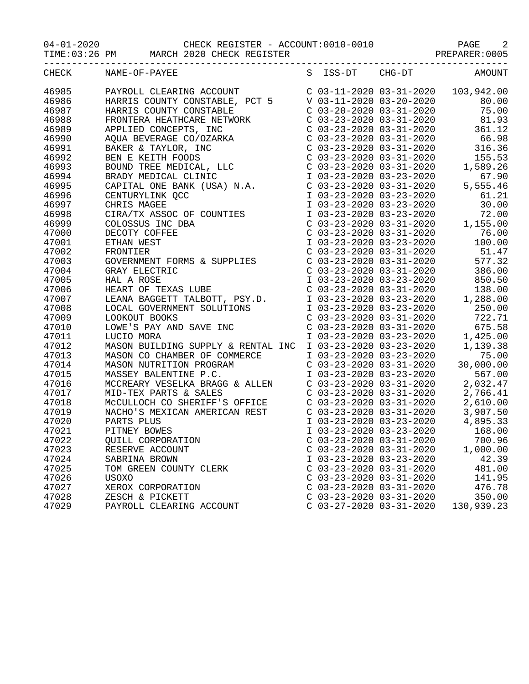04-01-2020 CHECK REGISTER - ACCOUNT:0010-0010 PAGE 2

TIME:03:26 PM MARCH 2020 CHECK REGISTER **PREPARER:0005** 

|       | CHECK NAME-OF-PAYEE<br>S ISS-DT CHG-DT AMOUNT                                                                                                                                                                                                                                                                                                                                                                                                                   |                           |                           |            |
|-------|-----------------------------------------------------------------------------------------------------------------------------------------------------------------------------------------------------------------------------------------------------------------------------------------------------------------------------------------------------------------------------------------------------------------------------------------------------------------|---------------------------|---------------------------|------------|
| 46985 | $\begin{tabular}{l c c c c} \multicolumn{1}{c}{\textbf{NAME-OF-PAYEER INR}} & \multicolumn{1}{c}{\textbf{S}} & \multicolumn{1}{c}{\textbf{S}} & \multicolumn{1}{c}{\textbf{S}} & \multicolumn{1}{c}{\textbf{S}} & \multicolumn{1}{c}{\textbf{S}} & \multicolumn{1}{c}{\textbf{S}} & \multicolumn{1}{c}{\textbf{S}} & \multicolumn{1}{c}{\textbf{S}} & \multicolumn{1}{c}{\textbf{S}} & \multicolumn{1}{c}{\textbf{S}} & \multicolumn{1}{c}{\textbf{S}} & \mult$ |                           |                           |            |
| 46986 |                                                                                                                                                                                                                                                                                                                                                                                                                                                                 |                           |                           |            |
| 46987 |                                                                                                                                                                                                                                                                                                                                                                                                                                                                 |                           |                           |            |
| 46988 |                                                                                                                                                                                                                                                                                                                                                                                                                                                                 |                           |                           |            |
| 46989 |                                                                                                                                                                                                                                                                                                                                                                                                                                                                 |                           |                           |            |
| 46990 |                                                                                                                                                                                                                                                                                                                                                                                                                                                                 |                           |                           |            |
| 46991 |                                                                                                                                                                                                                                                                                                                                                                                                                                                                 |                           |                           |            |
| 46992 |                                                                                                                                                                                                                                                                                                                                                                                                                                                                 |                           |                           |            |
| 46993 |                                                                                                                                                                                                                                                                                                                                                                                                                                                                 |                           |                           |            |
| 46994 |                                                                                                                                                                                                                                                                                                                                                                                                                                                                 |                           |                           |            |
| 46995 |                                                                                                                                                                                                                                                                                                                                                                                                                                                                 |                           |                           |            |
| 46996 |                                                                                                                                                                                                                                                                                                                                                                                                                                                                 |                           |                           |            |
| 46997 |                                                                                                                                                                                                                                                                                                                                                                                                                                                                 |                           |                           |            |
| 46998 |                                                                                                                                                                                                                                                                                                                                                                                                                                                                 |                           |                           |            |
| 46999 |                                                                                                                                                                                                                                                                                                                                                                                                                                                                 |                           |                           |            |
| 47000 |                                                                                                                                                                                                                                                                                                                                                                                                                                                                 |                           |                           |            |
| 47001 |                                                                                                                                                                                                                                                                                                                                                                                                                                                                 |                           |                           |            |
| 47002 |                                                                                                                                                                                                                                                                                                                                                                                                                                                                 |                           |                           |            |
| 47003 |                                                                                                                                                                                                                                                                                                                                                                                                                                                                 |                           |                           |            |
| 47004 |                                                                                                                                                                                                                                                                                                                                                                                                                                                                 |                           |                           |            |
| 47005 |                                                                                                                                                                                                                                                                                                                                                                                                                                                                 |                           |                           |            |
| 47006 |                                                                                                                                                                                                                                                                                                                                                                                                                                                                 |                           |                           |            |
| 47007 |                                                                                                                                                                                                                                                                                                                                                                                                                                                                 |                           |                           |            |
| 47008 |                                                                                                                                                                                                                                                                                                                                                                                                                                                                 |                           |                           |            |
| 47009 |                                                                                                                                                                                                                                                                                                                                                                                                                                                                 |                           |                           |            |
| 47010 |                                                                                                                                                                                                                                                                                                                                                                                                                                                                 |                           |                           |            |
| 47011 |                                                                                                                                                                                                                                                                                                                                                                                                                                                                 |                           |                           |            |
| 47012 |                                                                                                                                                                                                                                                                                                                                                                                                                                                                 |                           |                           |            |
| 47013 |                                                                                                                                                                                                                                                                                                                                                                                                                                                                 |                           |                           |            |
| 47014 |                                                                                                                                                                                                                                                                                                                                                                                                                                                                 |                           |                           |            |
| 47015 |                                                                                                                                                                                                                                                                                                                                                                                                                                                                 |                           |                           |            |
| 47016 |                                                                                                                                                                                                                                                                                                                                                                                                                                                                 |                           |                           |            |
| 47017 |                                                                                                                                                                                                                                                                                                                                                                                                                                                                 |                           |                           |            |
| 47018 |                                                                                                                                                                                                                                                                                                                                                                                                                                                                 |                           |                           |            |
| 47019 |                                                                                                                                                                                                                                                                                                                                                                                                                                                                 |                           |                           |            |
| 47020 |                                                                                                                                                                                                                                                                                                                                                                                                                                                                 |                           |                           |            |
| 47021 | PITNEY BOWES                                                                                                                                                                                                                                                                                                                                                                                                                                                    |                           |                           |            |
| 47022 | <b>OUILL CORPORATION</b>                                                                                                                                                                                                                                                                                                                                                                                                                                        |                           |                           |            |
| 47023 | RESERVE ACCOUNT                                                                                                                                                                                                                                                                                                                                                                                                                                                 |                           | $C$ 03-23-2020 03-31-2020 | 1,000.00   |
| 47024 | SABRINA BROWN                                                                                                                                                                                                                                                                                                                                                                                                                                                   | I 03-23-2020 03-23-2020   |                           | 42.39      |
| 47025 | TOM GREEN COUNTY CLERK                                                                                                                                                                                                                                                                                                                                                                                                                                          | $C$ 03-23-2020 03-31-2020 |                           | 481.00     |
| 47026 | <b>USOXO</b>                                                                                                                                                                                                                                                                                                                                                                                                                                                    | $C$ 03-23-2020 03-31-2020 |                           | 141.95     |
| 47027 | XEROX CORPORATION                                                                                                                                                                                                                                                                                                                                                                                                                                               | $C$ 03-23-2020 03-31-2020 |                           | 476.78     |
| 47028 | ZESCH & PICKETT                                                                                                                                                                                                                                                                                                                                                                                                                                                 | $C$ 03-23-2020 03-31-2020 |                           | 350.00     |
| 47029 | PAYROLL CLEARING ACCOUNT                                                                                                                                                                                                                                                                                                                                                                                                                                        | $C$ 03-27-2020 03-31-2020 |                           | 130,939.23 |
|       |                                                                                                                                                                                                                                                                                                                                                                                                                                                                 |                           |                           |            |